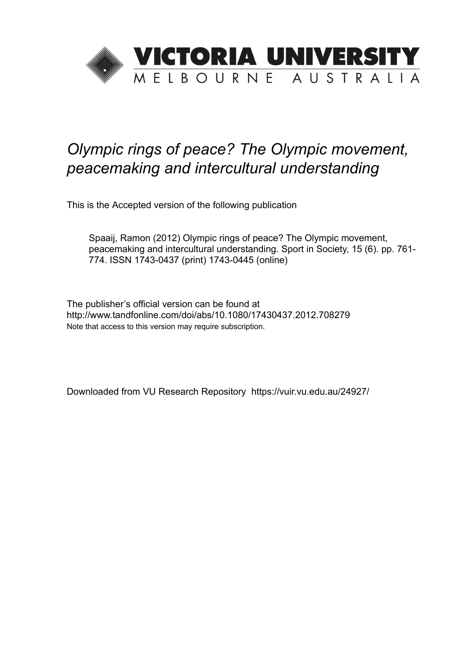

# *Olympic rings of peace? The Olympic movement, peacemaking and intercultural understanding*

This is the Accepted version of the following publication

Spaaij, Ramon (2012) Olympic rings of peace? The Olympic movement, peacemaking and intercultural understanding. Sport in Society, 15 (6). pp. 761- 774. ISSN 1743-0437 (print) 1743-0445 (online)

The publisher's official version can be found at http://www.tandfonline.com/doi/abs/10.1080/17430437.2012.708279 Note that access to this version may require subscription.

Downloaded from VU Research Repository https://vuir.vu.edu.au/24927/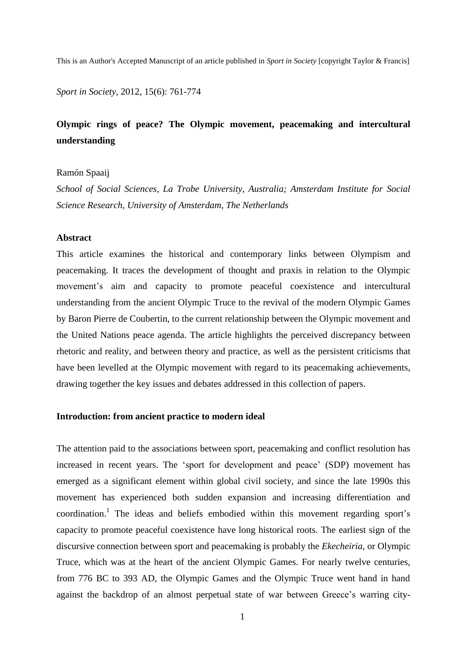This is an Author's Accepted Manuscript of an article published in *Sport in Society* [copyright Taylor & Francis]

*Sport in Society*, 2012, 15(6): 761-774

## **Olympic rings of peace? The Olympic movement, peacemaking and intercultural understanding**

Ramón Spaaij

*School of Social Sciences, La Trobe University, Australia; Amsterdam Institute for Social Science Research, University of Amsterdam, The Netherlands*

## **Abstract**

This article examines the historical and contemporary links between Olympism and peacemaking. It traces the development of thought and praxis in relation to the Olympic movement's aim and capacity to promote peaceful coexistence and intercultural understanding from the ancient Olympic Truce to the revival of the modern Olympic Games by Baron Pierre de Coubertin, to the current relationship between the Olympic movement and the United Nations peace agenda. The article highlights the perceived discrepancy between rhetoric and reality, and between theory and practice, as well as the persistent criticisms that have been levelled at the Olympic movement with regard to its peacemaking achievements, drawing together the key issues and debates addressed in this collection of papers.

## **Introduction: from ancient practice to modern ideal**

The attention paid to the associations between sport, peacemaking and conflict resolution has increased in recent years. The 'sport for development and peace' (SDP) movement has emerged as a significant element within global civil society, and since the late 1990s this movement has experienced both sudden expansion and increasing differentiation and coordination.<sup>1</sup> The ideas and beliefs embodied within this movement regarding sport's capacity to promote peaceful coexistence have long historical roots. The earliest sign of the discursive connection between sport and peacemaking is probably the *Ekecheiria*, or Olympic Truce, which was at the heart of the ancient Olympic Games. For nearly twelve centuries, from 776 BC to 393 AD, the Olympic Games and the Olympic Truce went hand in hand against the backdrop of an almost perpetual state of war between Greece's warring city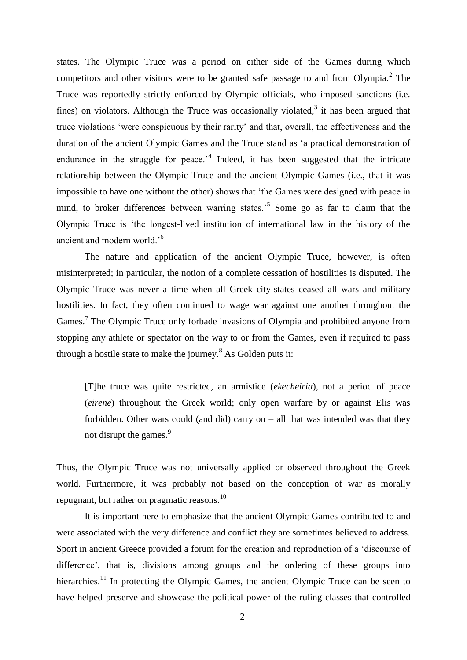states. The Olympic Truce was a period on either side of the Games during which competitors and other visitors were to be granted safe passage to and from Olympia. $2$  The Truce was reportedly strictly enforced by Olympic officials, who imposed sanctions (i.e. fines) on violators. Although the Truce was occasionally violated, $3$  it has been argued that truce violations 'were conspicuous by their rarity' and that, overall, the effectiveness and the duration of the ancient Olympic Games and the Truce stand as 'a practical demonstration of endurance in the struggle for peace.<sup> $4$ </sup> Indeed, it has been suggested that the intricate relationship between the Olympic Truce and the ancient Olympic Games (i.e., that it was impossible to have one without the other) shows that 'the Games were designed with peace in mind, to broker differences between warring states.<sup>5</sup> Some go as far to claim that the Olympic Truce is 'the longest-lived institution of international law in the history of the ancient and modern world.<sup>6</sup>

The nature and application of the ancient Olympic Truce, however, is often misinterpreted; in particular, the notion of a complete cessation of hostilities is disputed. The Olympic Truce was never a time when all Greek city-states ceased all wars and military hostilities. In fact, they often continued to wage war against one another throughout the Games.<sup>7</sup> The Olympic Truce only forbade invasions of Olympia and prohibited anyone from stopping any athlete or spectator on the way to or from the Games, even if required to pass through a hostile state to make the journey.<sup>8</sup> As Golden puts it:

[T]he truce was quite restricted, an armistice (*ekecheiria*), not a period of peace (*eirene*) throughout the Greek world; only open warfare by or against Elis was forbidden. Other wars could (and did) carry on – all that was intended was that they not disrupt the games.<sup>9</sup>

Thus, the Olympic Truce was not universally applied or observed throughout the Greek world. Furthermore, it was probably not based on the conception of war as morally repugnant, but rather on pragmatic reasons.<sup>10</sup>

It is important here to emphasize that the ancient Olympic Games contributed to and were associated with the very difference and conflict they are sometimes believed to address. Sport in ancient Greece provided a forum for the creation and reproduction of a 'discourse of difference', that is, divisions among groups and the ordering of these groups into hierarchies.<sup>11</sup> In protecting the Olympic Games, the ancient Olympic Truce can be seen to have helped preserve and showcase the political power of the ruling classes that controlled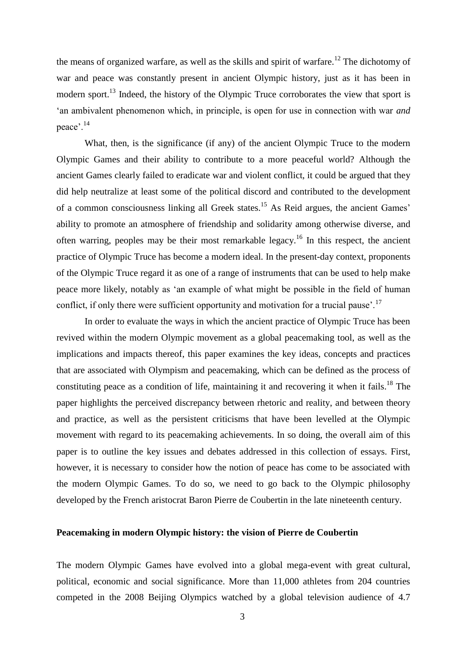the means of organized warfare, as well as the skills and spirit of warfare.<sup>12</sup> The dichotomy of war and peace was constantly present in ancient Olympic history, just as it has been in modern sport.<sup>13</sup> Indeed, the history of the Olympic Truce corroborates the view that sport is 'an ambivalent phenomenon which, in principle, is open for use in connection with war *and*  peace'.<sup>14</sup>

What, then, is the significance (if any) of the ancient Olympic Truce to the modern Olympic Games and their ability to contribute to a more peaceful world? Although the ancient Games clearly failed to eradicate war and violent conflict, it could be argued that they did help neutralize at least some of the political discord and contributed to the development of a common consciousness linking all Greek states.<sup>15</sup> As Reid argues, the ancient Games' ability to promote an atmosphere of friendship and solidarity among otherwise diverse, and often warring, peoples may be their most remarkable legacy.<sup>16</sup> In this respect, the ancient practice of Olympic Truce has become a modern ideal. In the present-day context, proponents of the Olympic Truce regard it as one of a range of instruments that can be used to help make peace more likely, notably as 'an example of what might be possible in the field of human conflict, if only there were sufficient opportunity and motivation for a trucial pause'.<sup>17</sup>

In order to evaluate the ways in which the ancient practice of Olympic Truce has been revived within the modern Olympic movement as a global peacemaking tool, as well as the implications and impacts thereof, this paper examines the key ideas, concepts and practices that are associated with Olympism and peacemaking, which can be defined as the process of constituting peace as a condition of life, maintaining it and recovering it when it fails.<sup>18</sup> The paper highlights the perceived discrepancy between rhetoric and reality, and between theory and practice, as well as the persistent criticisms that have been levelled at the Olympic movement with regard to its peacemaking achievements. In so doing, the overall aim of this paper is to outline the key issues and debates addressed in this collection of essays. First, however, it is necessary to consider how the notion of peace has come to be associated with the modern Olympic Games. To do so, we need to go back to the Olympic philosophy developed by the French aristocrat Baron Pierre de Coubertin in the late nineteenth century.

## **Peacemaking in modern Olympic history: the vision of Pierre de Coubertin**

The modern Olympic Games have evolved into a global mega-event with great cultural, political, economic and social significance. More than 11,000 athletes from 204 countries competed in the 2008 Beijing Olympics watched by a global television audience of 4.7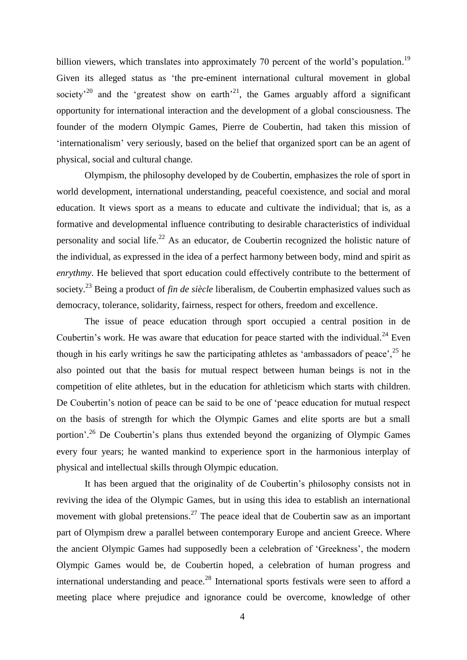billion viewers, which translates into approximately 70 percent of the world's population.<sup>19</sup> Given its alleged status as 'the pre-eminent international cultural movement in global society<sup> $20$ </sup> and the 'greatest show on earth'<sup>21</sup>, the Games arguably afford a significant opportunity for international interaction and the development of a global consciousness. The founder of the modern Olympic Games, Pierre de Coubertin, had taken this mission of 'internationalism' very seriously, based on the belief that organized sport can be an agent of physical, social and cultural change.

Olympism, the philosophy developed by de Coubertin, emphasizes the role of sport in world development, international understanding, peaceful coexistence, and social and moral education. It views sport as a means to educate and cultivate the individual; that is, as a formative and developmental influence contributing to desirable characteristics of individual personality and social life.<sup>22</sup> As an educator, de Coubertin recognized the holistic nature of the individual, as expressed in the idea of a perfect harmony between body, mind and spirit as *enrythmy*. He believed that sport education could effectively contribute to the betterment of society.<sup>23</sup> Being a product of *fin de siècle* liberalism, de Coubertin emphasized values such as democracy, tolerance, solidarity, fairness, respect for others, freedom and excellence.

The issue of peace education through sport occupied a central position in de Coubertin's work. He was aware that education for peace started with the individual.<sup>24</sup> Even though in his early writings he saw the participating athletes as 'ambassadors of peace',  $25$  he also pointed out that the basis for mutual respect between human beings is not in the competition of elite athletes, but in the education for athleticism which starts with children. De Coubertin's notion of peace can be said to be one of 'peace education for mutual respect on the basis of strength for which the Olympic Games and elite sports are but a small portion<sup>', 26</sup> De Coubertin's plans thus extended beyond the organizing of Olympic Games every four years; he wanted mankind to experience sport in the harmonious interplay of physical and intellectual skills through Olympic education.

It has been argued that the originality of de Coubertin's philosophy consists not in reviving the idea of the Olympic Games, but in using this idea to establish an international movement with global pretensions.<sup>27</sup> The peace ideal that de Coubertin saw as an important part of Olympism drew a parallel between contemporary Europe and ancient Greece. Where the ancient Olympic Games had supposedly been a celebration of 'Greekness', the modern Olympic Games would be, de Coubertin hoped, a celebration of human progress and international understanding and peace.<sup>28</sup> International sports festivals were seen to afford a meeting place where prejudice and ignorance could be overcome, knowledge of other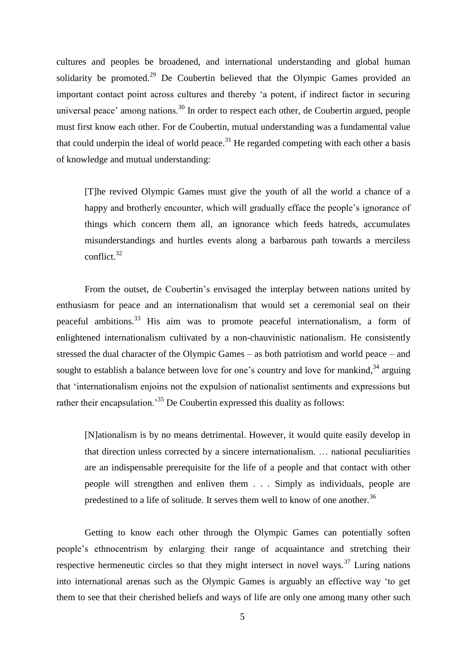cultures and peoples be broadened, and international understanding and global human solidarity be promoted.<sup>29</sup> De Coubertin believed that the Olympic Games provided an important contact point across cultures and thereby 'a potent, if indirect factor in securing universal peace' among nations.<sup>30</sup> In order to respect each other, de Coubertin argued, people must first know each other. For de Coubertin, mutual understanding was a fundamental value that could underpin the ideal of world peace. $31$  He regarded competing with each other a basis of knowledge and mutual understanding:

[T]he revived Olympic Games must give the youth of all the world a chance of a happy and brotherly encounter, which will gradually efface the people's ignorance of things which concern them all, an ignorance which feeds hatreds, accumulates misunderstandings and hurtles events along a barbarous path towards a merciless conflict.<sup>32</sup>

From the outset, de Coubertin's envisaged the interplay between nations united by enthusiasm for peace and an internationalism that would set a ceremonial seal on their peaceful ambitions.<sup>33</sup> His aim was to promote peaceful internationalism, a form of enlightened internationalism cultivated by a non-chauvinistic nationalism. He consistently stressed the dual character of the Olympic Games – as both patriotism and world peace – and sought to establish a balance between love for one's country and love for mankind,  $34$  arguing that 'internationalism enjoins not the expulsion of nationalist sentiments and expressions but rather their encapsulation.<sup>35</sup> De Coubertin expressed this duality as follows:

[N]ationalism is by no means detrimental. However, it would quite easily develop in that direction unless corrected by a sincere internationalism. … national peculiarities are an indispensable prerequisite for the life of a people and that contact with other people will strengthen and enliven them . . . Simply as individuals, people are predestined to a life of solitude. It serves them well to know of one another.<sup>36</sup>

Getting to know each other through the Olympic Games can potentially soften people's ethnocentrism by enlarging their range of acquaintance and stretching their respective hermeneutic circles so that they might intersect in novel ways.<sup>37</sup> Luring nations into international arenas such as the Olympic Games is arguably an effective way 'to get them to see that their cherished beliefs and ways of life are only one among many other such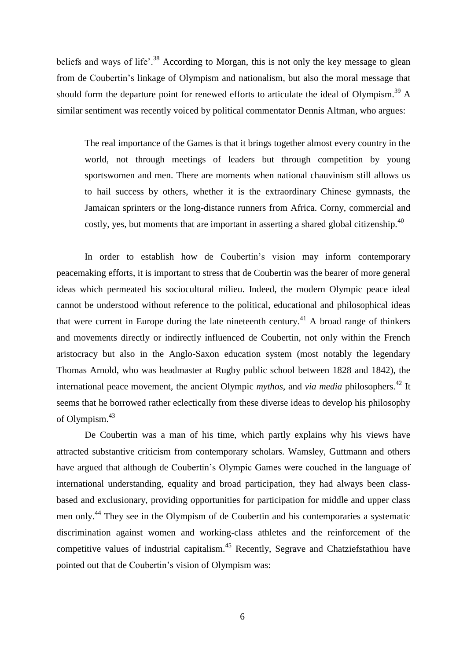beliefs and ways of life'.<sup>38</sup> According to Morgan, this is not only the key message to glean from de Coubertin's linkage of Olympism and nationalism, but also the moral message that should form the departure point for renewed efforts to articulate the ideal of Olympism.<sup>39</sup> A similar sentiment was recently voiced by political commentator Dennis Altman, who argues:

The real importance of the Games is that it brings together almost every country in the world, not through meetings of leaders but through competition by young sportswomen and men. There are moments when national chauvinism still allows us to hail success by others, whether it is the extraordinary Chinese gymnasts, the Jamaican sprinters or the long-distance runners from Africa. Corny, commercial and costly, yes, but moments that are important in asserting a shared global citizenship.<sup>40</sup>

In order to establish how de Coubertin's vision may inform contemporary peacemaking efforts, it is important to stress that de Coubertin was the bearer of more general ideas which permeated his sociocultural milieu. Indeed, the modern Olympic peace ideal cannot be understood without reference to the political, educational and philosophical ideas that were current in Europe during the late nineteenth century.<sup>41</sup> A broad range of thinkers and movements directly or indirectly influenced de Coubertin, not only within the French aristocracy but also in the Anglo-Saxon education system (most notably the legendary Thomas Arnold, who was headmaster at Rugby public school between 1828 and 1842), the international peace movement, the ancient Olympic *mythos*, and *via media* philosophers.<sup>42</sup> It seems that he borrowed rather eclectically from these diverse ideas to develop his philosophy of Olympism.<sup>43</sup>

De Coubertin was a man of his time, which partly explains why his views have attracted substantive criticism from contemporary scholars. Wamsley, Guttmann and others have argued that although de Coubertin's Olympic Games were couched in the language of international understanding, equality and broad participation, they had always been classbased and exclusionary, providing opportunities for participation for middle and upper class men only.<sup>44</sup> They see in the Olympism of de Coubertin and his contemporaries a systematic discrimination against women and working-class athletes and the reinforcement of the competitive values of industrial capitalism.<sup>45</sup> Recently, Segrave and Chatziefstathiou have pointed out that de Coubertin's vision of Olympism was: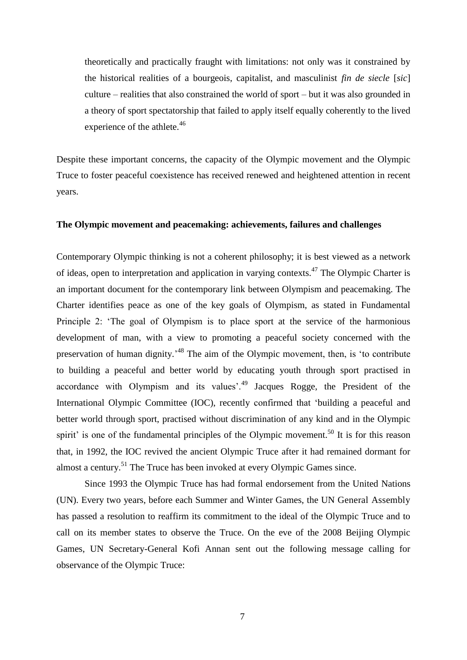theoretically and practically fraught with limitations: not only was it constrained by the historical realities of a bourgeois, capitalist, and masculinist *fin de siecle* [*sic*] culture – realities that also constrained the world of sport – but it was also grounded in a theory of sport spectatorship that failed to apply itself equally coherently to the lived experience of the athlete.<sup>46</sup>

Despite these important concerns, the capacity of the Olympic movement and the Olympic Truce to foster peaceful coexistence has received renewed and heightened attention in recent years.

### **The Olympic movement and peacemaking: achievements, failures and challenges**

Contemporary Olympic thinking is not a coherent philosophy; it is best viewed as a network of ideas, open to interpretation and application in varying contexts.<sup>47</sup> The Olympic Charter is an important document for the contemporary link between Olympism and peacemaking. The Charter identifies peace as one of the key goals of Olympism, as stated in Fundamental Principle 2: 'The goal of Olympism is to place sport at the service of the harmonious development of man, with a view to promoting a peaceful society concerned with the preservation of human dignity.<sup>48</sup> The aim of the Olympic movement, then, is 'to contribute to building a peaceful and better world by educating youth through sport practised in accordance with Olympism and its values<sup>', 49</sup> Jacques Rogge, the President of the International Olympic Committee (IOC), recently confirmed that 'building a peaceful and better world through sport, practised without discrimination of any kind and in the Olympic spirit' is one of the fundamental principles of the Olympic movement.<sup>50</sup> It is for this reason that, in 1992, the IOC revived the ancient Olympic Truce after it had remained dormant for almost a century.<sup>51</sup> The Truce has been invoked at every Olympic Games since.

Since 1993 the Olympic Truce has had formal endorsement from the United Nations (UN). Every two years, before each Summer and Winter Games, the UN General Assembly has passed a resolution to reaffirm its commitment to the ideal of the Olympic Truce and to call on its member states to observe the Truce. On the eve of the 2008 Beijing Olympic Games, UN Secretary-General Kofi Annan sent out the following message calling for observance of the Olympic Truce: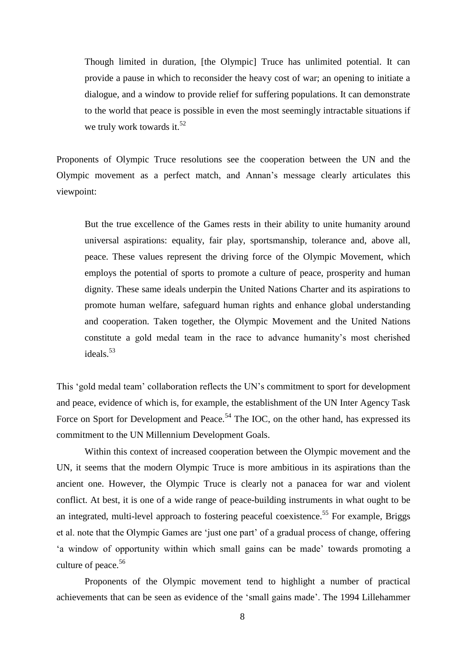Though limited in duration, [the Olympic] Truce has unlimited potential. It can provide a pause in which to reconsider the heavy cost of war; an opening to initiate a dialogue, and a window to provide relief for suffering populations. It can demonstrate to the world that peace is possible in even the most seemingly intractable situations if we truly work towards it.<sup>52</sup>

Proponents of Olympic Truce resolutions see the cooperation between the UN and the Olympic movement as a perfect match, and Annan's message clearly articulates this viewpoint:

But the true excellence of the Games rests in their ability to unite humanity around universal aspirations: equality, fair play, sportsmanship, tolerance and, above all, peace. These values represent the driving force of the Olympic Movement, which employs the potential of sports to promote a culture of peace, prosperity and human dignity. These same ideals underpin the United Nations Charter and its aspirations to promote human welfare, safeguard human rights and enhance global understanding and cooperation. Taken together, the Olympic Movement and the United Nations constitute a gold medal team in the race to advance humanity's most cherished ideals.<sup>53</sup>

This 'gold medal team' collaboration reflects the UN's commitment to sport for development and peace, evidence of which is, for example, the establishment of the UN Inter Agency Task Force on Sport for Development and Peace.<sup>54</sup> The IOC, on the other hand, has expressed its commitment to the UN Millennium Development Goals.

Within this context of increased cooperation between the Olympic movement and the UN, it seems that the modern Olympic Truce is more ambitious in its aspirations than the ancient one. However, the Olympic Truce is clearly not a panacea for war and violent conflict. At best, it is one of a wide range of peace-building instruments in what ought to be an integrated, multi-level approach to fostering peaceful coexistence.<sup>55</sup> For example, Briggs et al. note that the Olympic Games are 'just one part' of a gradual process of change, offering 'a window of opportunity within which small gains can be made' towards promoting a culture of peace. 56

Proponents of the Olympic movement tend to highlight a number of practical achievements that can be seen as evidence of the 'small gains made'. The 1994 Lillehammer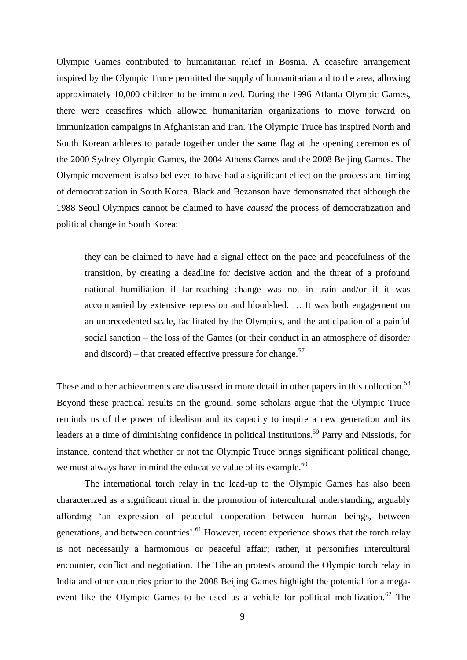Olympic Games contributed to humanitarian relief in Bosnia. A ceasefire arrangement inspired by the Olympic Truce permitted the supply of humanitarian aid to the area, allowing approximately 10,000 children to be immunized. During the 1996 Atlanta Olympic Games, there were ceasefires which allowed humanitarian organizations to move forward on immunization campaigns in Afghanistan and Iran. The Olympic Truce has inspired North and South Korean athletes to parade together under the same flag at the opening ceremonies of the 2000 Sydney Olympic Games, the 2004 Athens Games and the 2008 Beijing Games. The Olympic movement is also believed to have had a significant effect on the process and timing of democratization in South Korea. Black and Bezanson have demonstrated that although the 1988 Seoul Olympics cannot be claimed to have *caused* the process of democratization and political change in South Korea:

they can be claimed to have had a signal effect on the pace and peacefulness of the transition, by creating a deadline for decisive action and the threat of a profound national humiliation if far-reaching change was not in train and/or if it was accompanied by extensive repression and bloodshed. … It was both engagement on an unprecedented scale, facilitated by the Olympics, and the anticipation of a painful social sanction – the loss of the Games (or their conduct in an atmosphere of disorder and discord) – that created effective pressure for change.<sup>57</sup>

These and other achievements are discussed in more detail in other papers in this collection.<sup>58</sup> Beyond these practical results on the ground, some scholars argue that the Olympic Truce reminds us of the power of idealism and its capacity to inspire a new generation and its leaders at a time of diminishing confidence in political institutions.<sup>59</sup> Parry and Nissiotis, for instance, contend that whether or not the Olympic Truce brings significant political change, we must always have in mind the educative value of its example.<sup>60</sup>

The international torch relay in the lead-up to the Olympic Games has also been characterized as a significant ritual in the promotion of intercultural understanding, arguably affording 'an expression of peaceful cooperation between human beings, between generations, and between countries'.<sup>61</sup> However, recent experience shows that the torch relay is not necessarily a harmonious or peaceful affair; rather, it personifies intercultural encounter, conflict and negotiation. The Tibetan protests around the Olympic torch relay in India and other countries prior to the 2008 Beijing Games highlight the potential for a megaevent like the Olympic Games to be used as a vehicle for political mobilization.<sup>62</sup> The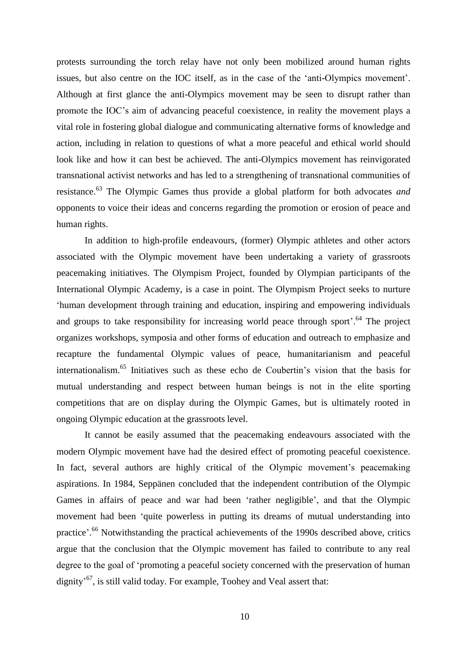protests surrounding the torch relay have not only been mobilized around human rights issues, but also centre on the IOC itself, as in the case of the 'anti-Olympics movement'. Although at first glance the anti-Olympics movement may be seen to disrupt rather than promote the IOC's aim of advancing peaceful coexistence, in reality the movement plays a vital role in fostering global dialogue and communicating alternative forms of knowledge and action, including in relation to questions of what a more peaceful and ethical world should look like and how it can best be achieved. The anti-Olympics movement has reinvigorated transnational activist networks and has led to a strengthening of transnational communities of resistance.<sup>63</sup> The Olympic Games thus provide a global platform for both advocates *and* opponents to voice their ideas and concerns regarding the promotion or erosion of peace and human rights.

In addition to high-profile endeavours, (former) Olympic athletes and other actors associated with the Olympic movement have been undertaking a variety of grassroots peacemaking initiatives. The Olympism Project, founded by Olympian participants of the International Olympic Academy, is a case in point. The Olympism Project seeks to nurture 'human development through training and education, inspiring and empowering individuals and groups to take responsibility for increasing world peace through sport<sup> $.64$ </sup> The project organizes workshops, symposia and other forms of education and outreach to emphasize and recapture the fundamental Olympic values of peace, humanitarianism and peaceful internationalism. <sup>65</sup> Initiatives such as these echo de Coubertin's vision that the basis for mutual understanding and respect between human beings is not in the elite sporting competitions that are on display during the Olympic Games, but is ultimately rooted in ongoing Olympic education at the grassroots level.

It cannot be easily assumed that the peacemaking endeavours associated with the modern Olympic movement have had the desired effect of promoting peaceful coexistence. In fact, several authors are highly critical of the Olympic movement's peacemaking aspirations. In 1984, Seppänen concluded that the independent contribution of the Olympic Games in affairs of peace and war had been 'rather negligible', and that the Olympic movement had been 'quite powerless in putting its dreams of mutual understanding into practice'.<sup>66</sup> Notwithstanding the practical achievements of the 1990s described above, critics argue that the conclusion that the Olympic movement has failed to contribute to any real degree to the goal of 'promoting a peaceful society concerned with the preservation of human dignity<sup>567</sup>, is still valid today. For example, Toohey and Veal assert that: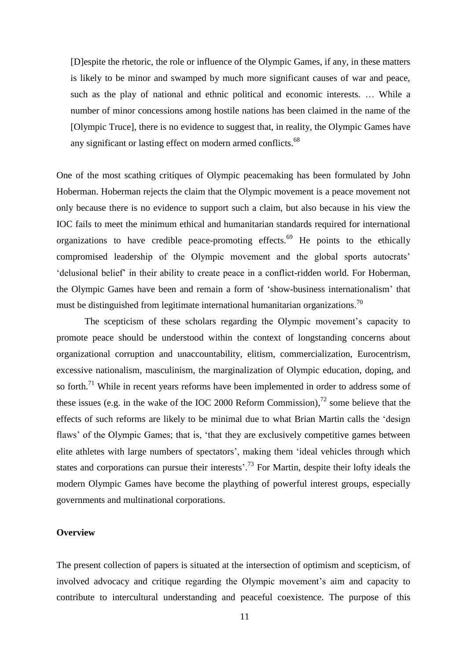[D]espite the rhetoric, the role or influence of the Olympic Games, if any, in these matters is likely to be minor and swamped by much more significant causes of war and peace, such as the play of national and ethnic political and economic interests. … While a number of minor concessions among hostile nations has been claimed in the name of the [Olympic Truce], there is no evidence to suggest that, in reality, the Olympic Games have any significant or lasting effect on modern armed conflicts.<sup>68</sup>

One of the most scathing critiques of Olympic peacemaking has been formulated by John Hoberman. Hoberman rejects the claim that the Olympic movement is a peace movement not only because there is no evidence to support such a claim, but also because in his view the IOC fails to meet the minimum ethical and humanitarian standards required for international organizations to have credible peace-promoting effects.<sup>69</sup> He points to the ethically compromised leadership of the Olympic movement and the global sports autocrats' 'delusional belief' in their ability to create peace in a conflict-ridden world. For Hoberman, the Olympic Games have been and remain a form of 'show-business internationalism' that must be distinguished from legitimate international humanitarian organizations.<sup>70</sup>

The scepticism of these scholars regarding the Olympic movement's capacity to promote peace should be understood within the context of longstanding concerns about organizational corruption and unaccountability, elitism, commercialization, Eurocentrism, excessive nationalism, masculinism, the marginalization of Olympic education, doping, and so forth.<sup>71</sup> While in recent years reforms have been implemented in order to address some of these issues (e.g. in the wake of the IOC 2000 Reform Commission), $^{72}$  some believe that the effects of such reforms are likely to be minimal due to what Brian Martin calls the 'design flaws' of the Olympic Games; that is, 'that they are exclusively competitive games between elite athletes with large numbers of spectators', making them 'ideal vehicles through which states and corporations can pursue their interests<sup>', 73</sup> For Martin, despite their lofty ideals the modern Olympic Games have become the plaything of powerful interest groups, especially governments and multinational corporations.

## **Overview**

The present collection of papers is situated at the intersection of optimism and scepticism, of involved advocacy and critique regarding the Olympic movement's aim and capacity to contribute to intercultural understanding and peaceful coexistence. The purpose of this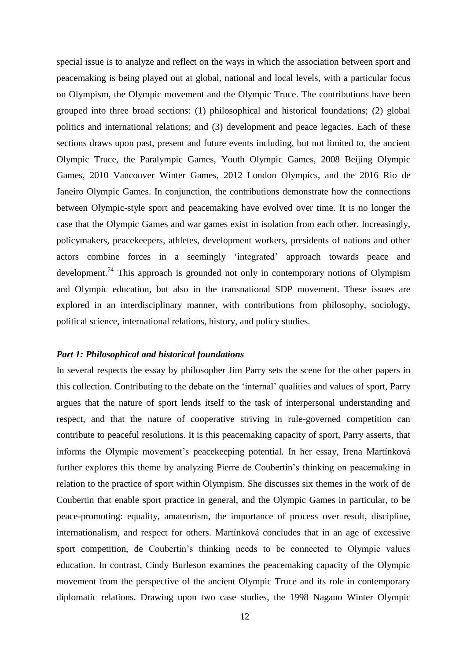special issue is to analyze and reflect on the ways in which the association between sport and peacemaking is being played out at global, national and local levels, with a particular focus on Olympism, the Olympic movement and the Olympic Truce. The contributions have been grouped into three broad sections: (1) philosophical and historical foundations; (2) global politics and international relations; and (3) development and peace legacies. Each of these sections draws upon past, present and future events including, but not limited to, the ancient Olympic Truce, the Paralympic Games, Youth Olympic Games, 2008 Beijing Olympic Games, 2010 Vancouver Winter Games, 2012 London Olympics, and the 2016 Rio de Janeiro Olympic Games. In conjunction, the contributions demonstrate how the connections between Olympic-style sport and peacemaking have evolved over time. It is no longer the case that the Olympic Games and war games exist in isolation from each other. Increasingly, policymakers, peacekeepers, athletes, development workers, presidents of nations and other actors combine forces in a seemingly 'integrated' approach towards peace and development.<sup>74</sup> This approach is grounded not only in contemporary notions of Olympism and Olympic education, but also in the transnational SDP movement. These issues are explored in an interdisciplinary manner, with contributions from philosophy, sociology, political science, international relations, history, and policy studies.

#### *Part 1: Philosophical and historical foundations*

In several respects the essay by philosopher Jim Parry sets the scene for the other papers in this collection. Contributing to the debate on the 'internal' qualities and values of sport, Parry argues that the nature of sport lends itself to the task of interpersonal understanding and respect, and that the nature of cooperative striving in rule-governed competition can contribute to peaceful resolutions. It is this peacemaking capacity of sport, Parry asserts, that informs the Olympic movement's peacekeeping potential. In her essay, Irena Martínková further explores this theme by analyzing Pierre de Coubertin's thinking on peacemaking in relation to the practice of sport within Olympism. She discusses six themes in the work of de Coubertin that enable sport practice in general, and the Olympic Games in particular, to be peace-promoting: equality, amateurism, the importance of process over result, discipline, internationalism, and respect for others. Martínková concludes that in an age of excessive sport competition, de Coubertin's thinking needs to be connected to Olympic values education. In contrast, Cindy Burleson examines the peacemaking capacity of the Olympic movement from the perspective of the ancient Olympic Truce and its role in contemporary diplomatic relations. Drawing upon two case studies, the 1998 Nagano Winter Olympic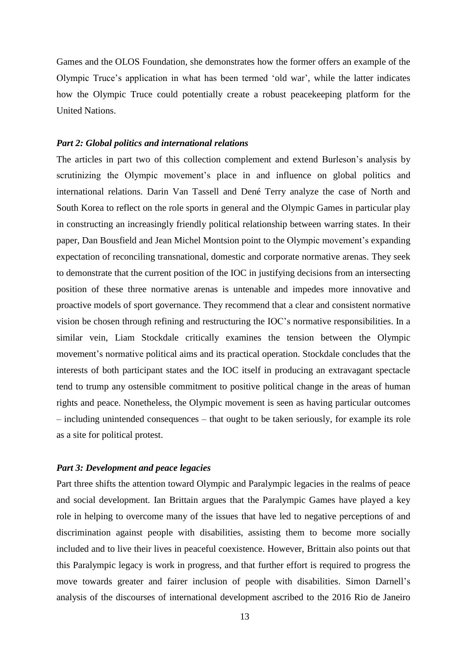Games and the OLOS Foundation, she demonstrates how the former offers an example of the Olympic Truce's application in what has been termed 'old war', while the latter indicates how the Olympic Truce could potentially create a robust peacekeeping platform for the United Nations.

### *Part 2: Global politics and international relations*

The articles in part two of this collection complement and extend Burleson's analysis by scrutinizing the Olympic movement's place in and influence on global politics and international relations. Darin Van Tassell and Dené Terry analyze the case of North and South Korea to reflect on the role sports in general and the Olympic Games in particular play in constructing an increasingly friendly political relationship between warring states. In their paper, Dan Bousfield and Jean Michel Montsion point to the Olympic movement's expanding expectation of reconciling transnational, domestic and corporate normative arenas. They seek to demonstrate that the current position of the IOC in justifying decisions from an intersecting position of these three normative arenas is untenable and impedes more innovative and proactive models of sport governance. They recommend that a clear and consistent normative vision be chosen through refining and restructuring the IOC's normative responsibilities. In a similar vein, Liam Stockdale critically examines the tension between the Olympic movement's normative political aims and its practical operation. Stockdale concludes that the interests of both participant states and the IOC itself in producing an extravagant spectacle tend to trump any ostensible commitment to positive political change in the areas of human rights and peace. Nonetheless, the Olympic movement is seen as having particular outcomes – including unintended consequences – that ought to be taken seriously, for example its role as a site for political protest.

## *Part 3: Development and peace legacies*

Part three shifts the attention toward Olympic and Paralympic legacies in the realms of peace and social development. Ian Brittain argues that the Paralympic Games have played a key role in helping to overcome many of the issues that have led to negative perceptions of and discrimination against people with disabilities, assisting them to become more socially included and to live their lives in peaceful coexistence. However, Brittain also points out that this Paralympic legacy is work in progress, and that further effort is required to progress the move towards greater and fairer inclusion of people with disabilities. Simon Darnell's analysis of the discourses of international development ascribed to the 2016 Rio de Janeiro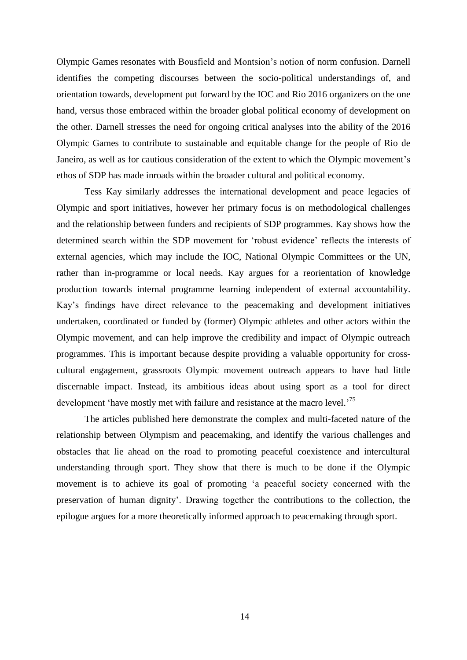Olympic Games resonates with Bousfield and Montsion's notion of norm confusion. Darnell identifies the competing discourses between the socio-political understandings of, and orientation towards, development put forward by the IOC and Rio 2016 organizers on the one hand, versus those embraced within the broader global political economy of development on the other. Darnell stresses the need for ongoing critical analyses into the ability of the 2016 Olympic Games to contribute to sustainable and equitable change for the people of Rio de Janeiro, as well as for cautious consideration of the extent to which the Olympic movement's ethos of SDP has made inroads within the broader cultural and political economy.

Tess Kay similarly addresses the international development and peace legacies of Olympic and sport initiatives, however her primary focus is on methodological challenges and the relationship between funders and recipients of SDP programmes. Kay shows how the determined search within the SDP movement for 'robust evidence' reflects the interests of external agencies, which may include the IOC, National Olympic Committees or the UN, rather than in-programme or local needs. Kay argues for a reorientation of knowledge production towards internal programme learning independent of external accountability. Kay's findings have direct relevance to the peacemaking and development initiatives undertaken, coordinated or funded by (former) Olympic athletes and other actors within the Olympic movement, and can help improve the credibility and impact of Olympic outreach programmes. This is important because despite providing a valuable opportunity for crosscultural engagement, grassroots Olympic movement outreach appears to have had little discernable impact. Instead, its ambitious ideas about using sport as a tool for direct development 'have mostly met with failure and resistance at the macro level.<sup>75</sup>

The articles published here demonstrate the complex and multi-faceted nature of the relationship between Olympism and peacemaking, and identify the various challenges and obstacles that lie ahead on the road to promoting peaceful coexistence and intercultural understanding through sport. They show that there is much to be done if the Olympic movement is to achieve its goal of promoting 'a peaceful society concerned with the preservation of human dignity'. Drawing together the contributions to the collection, the epilogue argues for a more theoretically informed approach to peacemaking through sport.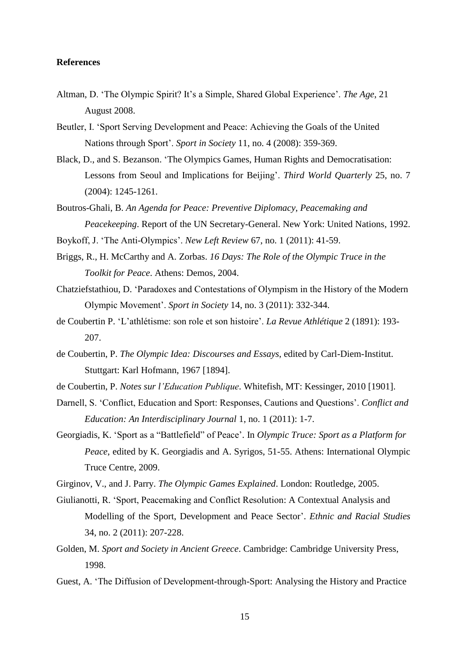## **References**

- Altman, D. 'The Olympic Spirit? It's a Simple, Shared Global Experience'. *The Age*, 21 August 2008.
- Beutler, I. 'Sport Serving Development and Peace: Achieving the Goals of the United Nations through Sport'. *Sport in Society* 11, no. 4 (2008): 359-369.
- Black, D., and S. Bezanson. 'The Olympics Games, Human Rights and Democratisation: Lessons from Seoul and Implications for Beijing'. *Third World Quarterly* 25, no. 7 (2004): 1245-1261.
- Boutros-Ghali, B. *An Agenda for Peace: Preventive Diplomacy, Peacemaking and Peacekeeping*. Report of the UN Secretary-General. New York: United Nations, 1992.
- Boykoff, J. 'The Anti-Olympics'. *New Left Review* 67, no. 1 (2011): 41-59.
- Briggs, R., H. McCarthy and A. Zorbas. *16 Days: The Role of the Olympic Truce in the Toolkit for Peace*. Athens: Demos, 2004.
- Chatziefstathiou, D. 'Paradoxes and Contestations of Olympism in the History of the Modern Olympic Movement'. *Sport in Society* 14, no. 3 (2011): 332-344.
- de Coubertin P. 'L'athlétisme: son role et son histoire'. *La Revue Athlétique* 2 (1891): 193- 207.
- de Coubertin, P. *The Olympic Idea: Discourses and Essays*, edited by Carl-Diem-Institut. Stuttgart: Karl Hofmann, 1967 [1894].
- de Coubertin, P. *Notes sur l'Education Publique*. Whitefish, MT: Kessinger, 2010 [1901].
- Darnell, S. 'Conflict, Education and Sport: Responses, Cautions and Questions'. *Conflict and Education: An Interdisciplinary Journal* 1, no. 1 (2011): 1-7.
- Georgiadis, K. 'Sport as a "Battlefield" of Peace'. In *Olympic Truce: Sport as a Platform for Peace*, edited by K. Georgiadis and A. Syrigos, 51-55. Athens: International Olympic Truce Centre, 2009.
- Girginov, V., and J. Parry. *The Olympic Games Explained*. London: Routledge, 2005.
- Giulianotti, R. 'Sport, Peacemaking and Conflict Resolution: A Contextual Analysis and Modelling of the Sport, Development and Peace Sector'. *Ethnic and Racial Studies* 34, no. 2 (2011): 207-228.
- Golden, M. *Sport and Society in Ancient Greece*. Cambridge: Cambridge University Press, 1998.
- Guest, A. 'The Diffusion of Development-through-Sport: Analysing the History and Practice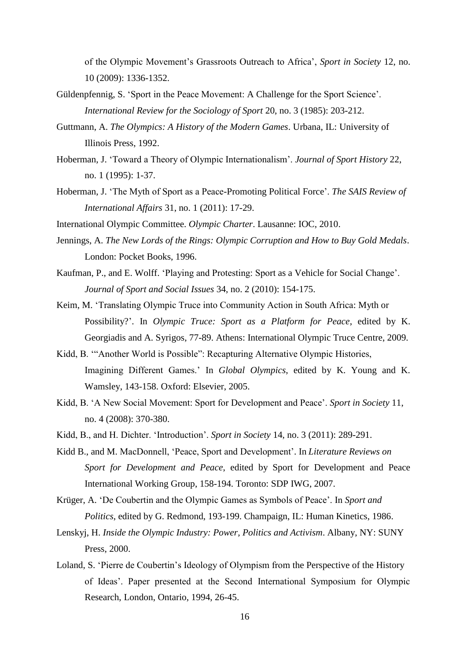of the Olympic Movement's Grassroots Outreach to Africa', *Sport in Society* 12, no. 10 (2009): 1336-1352.

- Güldenpfennig, S. 'Sport in the Peace Movement: A Challenge for the Sport Science'. *International Review for the Sociology of Sport* 20, no. 3 (1985): 203-212.
- Guttmann, A. *The Olympics: A History of the Modern Games*. Urbana, IL: University of Illinois Press, 1992.
- Hoberman, J. 'Toward a Theory of Olympic Internationalism'. *Journal of Sport History* 22, no. 1 (1995): 1-37.
- Hoberman, J. 'The Myth of Sport as a Peace-Promoting Political Force'. *The SAIS Review of International Affairs* 31, no. 1 (2011): 17-29.
- International Olympic Committee. *Olympic Charter*. Lausanne: IOC, 2010.
- Jennings, A. *The New Lords of the Rings: Olympic Corruption and How to Buy Gold Medals*. London: Pocket Books, 1996.
- Kaufman, P., and E. Wolff. 'Playing and Protesting: Sport as a Vehicle for Social Change'. *Journal of Sport and Social Issues* 34, no. 2 (2010): 154-175.
- Keim, M. 'Translating Olympic Truce into Community Action in South Africa: Myth or Possibility?'. In *Olympic Truce: Sport as a Platform for Peace*, edited by K. Georgiadis and A. Syrigos, 77-89. Athens: International Olympic Truce Centre, 2009.
- Kidd, B. '"Another World is Possible": Recapturing Alternative Olympic Histories, Imagining Different Games.' In *Global Olympics*, edited by K. Young and K. Wamsley, 143-158. Oxford: Elsevier, 2005.
- Kidd, B. 'A New Social Movement: Sport for Development and Peace'. *Sport in Society* 11, no. 4 (2008): 370-380.
- Kidd, B., and H. Dichter. 'Introduction'. *Sport in Society* 14, no. 3 (2011): 289-291.
- Kidd B., and M. MacDonnell, 'Peace, Sport and Development'. In *Literature Reviews on Sport for Development and Peace*, edited by Sport for Development and Peace International Working Group, 158-194. Toronto: SDP IWG, 2007.
- Krüger, A. 'De Coubertin and the Olympic Games as Symbols of Peace'. In *Sport and Politics*, edited by G. Redmond, 193-199. Champaign, IL: Human Kinetics, 1986.
- Lenskyj, H. *Inside the Olympic Industry: Power, Politics and Activism*. Albany, NY: SUNY Press, 2000.
- Loland, S. 'Pierre de Coubertin's Ideology of Olympism from the Perspective of the History of Ideas'. Paper presented at the Second International Symposium for Olympic Research, London, Ontario, 1994, 26-45.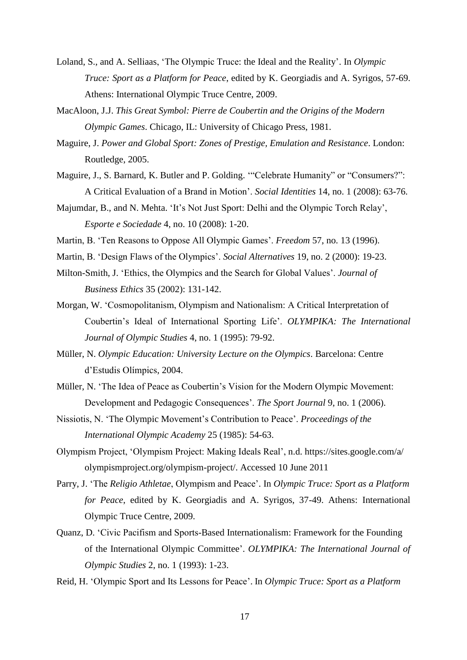- Loland, S., and A. Selliaas, 'The Olympic Truce: the Ideal and the Reality'. In *Olympic Truce: Sport as a Platform for Peace*, edited by K. Georgiadis and A. Syrigos, 57-69. Athens: International Olympic Truce Centre, 2009.
- MacAloon, J.J. *This Great Symbol: Pierre de Coubertin and the Origins of the Modern Olympic Games*. Chicago, IL: University of Chicago Press, 1981.
- Maguire, J. *Power and Global Sport: Zones of Prestige, Emulation and Resistance*. London: Routledge, 2005.
- Maguire, J., S. Barnard, K. Butler and P. Golding. '"Celebrate Humanity" or "Consumers?": A Critical Evaluation of a Brand in Motion'. *Social Identities* 14, no. 1 (2008): 63-76.
- Majumdar, B., and N. Mehta. 'It's Not Just Sport: Delhi and the Olympic Torch Relay', *Esporte e Sociedade* 4, no. 10 (2008): 1-20.
- Martin, B. 'Ten Reasons to Oppose All Olympic Games'. *Freedom* 57, no. 13 (1996).
- Martin, B. 'Design Flaws of the Olympics'. *Social Alternatives* 19, no. 2 (2000): 19-23.
- Milton-Smith, J. 'Ethics, the Olympics and the Search for Global Values'. *Journal of Business Ethics* 35 (2002): 131-142.
- Morgan, W. 'Cosmopolitanism, Olympism and Nationalism: A Critical Interpretation of Coubertin's Ideal of International Sporting Life'. *OLYMPIKA: The International Journal of Olympic Studies* 4, no. 1 (1995): 79-92.
- Müller, N. *Olympic Education: University Lecture on the Olympics*. Barcelona: Centre d'Estudis Olímpics, 2004.
- [Müller, N.](http://www.cabdirect.org/search.html?q=au%3A%22M%C3%BCller%2C+N.%22) 'The Idea of Peace as Coubertin's Vision for the Modern Olympic Movement: Development and Pedagogic Consequences'. *[The Sport Journal](http://www.cabdirect.org/search.html?q=do%3A%22The+Sport+Journal%22)* 9, no. 1 (2006).
- Nissiotis, N. 'The Olympic Movement's Contribution to Peace'. *Proceedings of the International Olympic Academy* 25 (1985): 54-63.
- Olympism Project, 'Olympism Project: Making Ideals Real', n.d. https://sites.google.com/a/ olympismproject.org/olympism-project/. Accessed 10 June 2011
- Parry, J. 'The *Religio Athletae*, Olympism and Peace'. In *Olympic Truce: Sport as a Platform for Peace*, edited by K. Georgiadis and A. Syrigos, 37-49. Athens: International Olympic Truce Centre, 2009.
- Quanz, D. 'Civic Pacifism and Sports-Based Internationalism: Framework for the Founding of the International Olympic Committee'. *OLYMPIKA: The International Journal of Olympic Studies* 2, no. 1 (1993): 1-23.
- Reid, H. 'Olympic Sport and Its Lessons for Peace'. In *Olympic Truce: Sport as a Platform*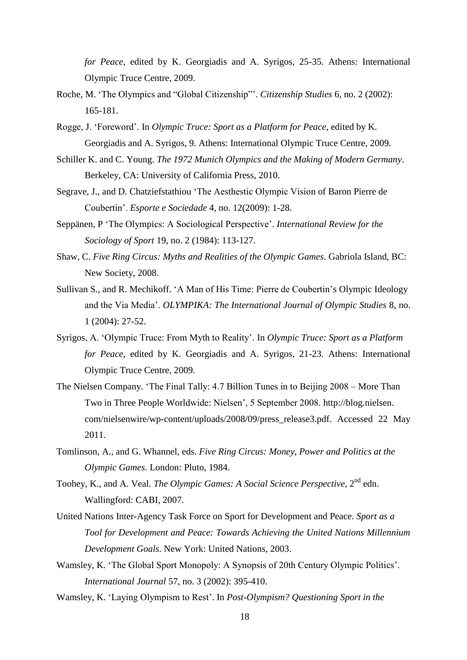*for Peace*, edited by K. Georgiadis and A. Syrigos, 25-35. Athens: International Olympic Truce Centre, 2009.

- Roche, M. 'The Olympics and "Global Citizenship"'. *Citizenship Studies* 6, no. 2 (2002): 165-181.
- Rogge, J. 'Foreword'. In *Olympic Truce: Sport as a Platform for Peace*, edited by K. Georgiadis and A. Syrigos, 9. Athens: International Olympic Truce Centre, 2009.
- Schiller K. and C. Young. *The 1972 Munich Olympics and the Making of Modern Germany*. Berkeley, CA: University of California Press, 2010.
- Segrave, J., and D. Chatziefstathiou 'The Aesthestic Olympic Vision of Baron Pierre de Coubertin'. *Esporte e Sociedade* 4, no. 12(2009): 1-28.
- Seppänen, P 'The Olympics: A Sociological Perspective'. *International Review for the Sociology of Sport* 19, no. 2 (1984): 113-127.
- Shaw, C. *Five Ring Circus: Myths and Realities of the Olympic Games*. Gabriola Island, BC: New Society, 2008.
- Sullivan S., and R. Mechikoff. 'A Man of His Time: Pierre de Coubertin's Olympic Ideology and the Via Media'. *OLYMPIKA: The International Journal of Olympic Studies* 8, no. 1 (2004): 27-52.
- Syrigos, A. 'Olympic Truce: From Myth to Reality'. In *Olympic Truce: Sport as a Platform for Peace*, edited by K. Georgiadis and A. Syrigos, 21-23. Athens: International Olympic Truce Centre, 2009.
- The Nielsen Company. 'The Final Tally: 4.7 Billion Tunes in to Beijing 2008 More Than Two in Three People Worldwide: Nielsen', 5 September 2008. http://blog.nielsen. com/nielsenwire/wp-content/uploads/2008/09/press\_release3.pdf. Accessed 22 May 2011.
- Tomlinson, A., and G. Whannel, eds. *Five Ring Circus: Money, Power and Politics at the Olympic Games*. London: Pluto, 1984.
- Toohey, K., and A. Veal. *The Olympic Games: A Social Science Perspective*, 2<sup>nd</sup> edn. Wallingford: CABI, 2007.
- United Nations Inter-Agency Task Force on Sport for Development and Peace. *Sport as a Tool for Development and Peace: Towards Achieving the United Nations Millennium Development Goals*. New York: United Nations, 2003.
- Wamsley, K. 'The Global Sport Monopoly: A Synopsis of 20th Century Olympic Politics'. *International Journal* 57, no. 3 (2002): 395-410.
- Wamsley, K. 'Laying Olympism to Rest'. In *Post-Olympism? Questioning Sport in the*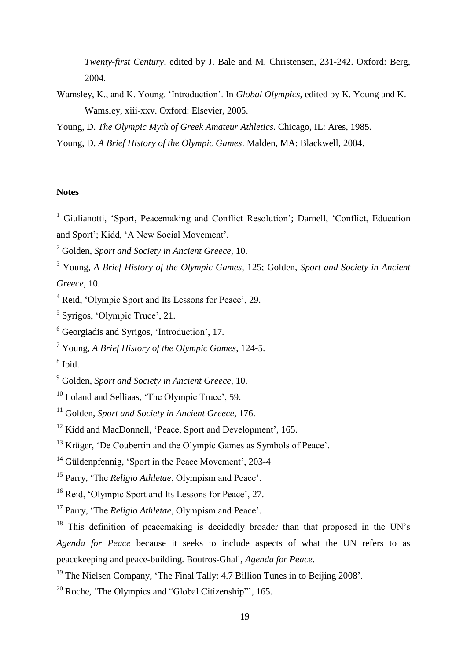*Twenty-first Century*, edited by J. Bale and M. Christensen, 231-242. Oxford: Berg, 2004.

Wamsley, K., and K. Young. 'Introduction'. In *Global Olympics*, edited by K. Young and K. Wamsley, xiii-xxv. Oxford: Elsevier, 2005.

Young, D. *The Olympic Myth of Greek Amateur Athletics*. Chicago, IL: Ares, 1985.

## **Notes**

1

8 Ibid.

Young, D. *A Brief History of the Olympic Games*. Malden, MA: Blackwell, 2004.

<sup>&</sup>lt;sup>1</sup> Giulianotti, 'Sport, Peacemaking and Conflict Resolution'; Darnell, 'Conflict, Education and Sport'; Kidd, 'A New Social Movement'.

<sup>2</sup> Golden, *Sport and Society in Ancient Greece*, 10.

<sup>3</sup> Young, *A Brief History of the Olympic Games*, 125; Golden, *Sport and Society in Ancient Greece*, 10.

<sup>4</sup> Reid, 'Olympic Sport and Its Lessons for Peace', 29.

<sup>5</sup> Syrigos, 'Olympic Truce', 21.

<sup>6</sup> Georgiadis and Syrigos, 'Introduction', 17.

<sup>7</sup> Young, *A Brief History of the Olympic Games*, 124-5.

<sup>9</sup> Golden, *Sport and Society in Ancient Greece*, 10.

<sup>&</sup>lt;sup>10</sup> Loland and Selliaas, 'The Olympic Truce', 59.

<sup>11</sup> Golden, *Sport and Society in Ancient Greece*, 176.

<sup>&</sup>lt;sup>12</sup> Kidd and MacDonnell, 'Peace, Sport and Development', 165.

<sup>&</sup>lt;sup>13</sup> Krüger, 'De Coubertin and the Olympic Games as Symbols of Peace'.

<sup>&</sup>lt;sup>14</sup> Güldenpfennig, 'Sport in the Peace Movement', 203-4

<sup>15</sup> Parry, 'The *Religio Athletae*, Olympism and Peace'.

<sup>&</sup>lt;sup>16</sup> Reid, 'Olympic Sport and Its Lessons for Peace', 27.

<sup>17</sup> Parry, 'The *Religio Athletae*, Olympism and Peace'.

<sup>&</sup>lt;sup>18</sup> This definition of peacemaking is decidedly broader than that proposed in the UN's *Agenda for Peace* because it seeks to include aspects of what the UN refers to as peacekeeping and peace-building. Boutros-Ghali, *Agenda for Peace*.

<sup>&</sup>lt;sup>19</sup> The Nielsen Company, 'The Final Tally: 4.7 Billion Tunes in to Beijing 2008'.

<sup>20</sup> Roche, 'The Olympics and "Global Citizenship"', 165.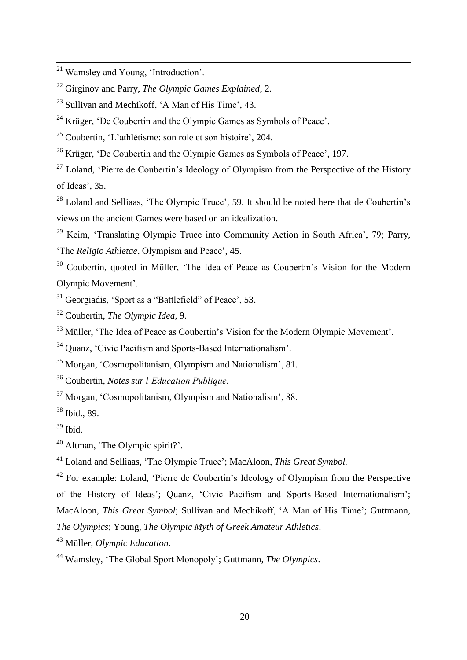Krüger, 'De Coubertin and the Olympic Games as Symbols of Peace'.

Coubertin, 'L'athlétisme: son role et son histoire', 204.

<sup>26</sup> Krüger, 'De Coubertin and the Olympic Games as Symbols of Peace', 197.

 Loland, 'Pierre de Coubertin's Ideology of Olympism from the Perspective of the History of Ideas', 35.

 Loland and Selliaas, 'The Olympic Truce', 59. It should be noted here that de Coubertin's views on the ancient Games were based on an idealization.

 Keim, 'Translating Olympic Truce into Community Action in South Africa', 79; Parry, 'The *Religio Athletae*, Olympism and Peace', 45.

<sup>30</sup> Coubertin, quoted in Müller, 'The Idea of Peace as Coubertin's Vision for the Modern Olympic Movement'.

Georgiadis, 'Sport as a "Battlefield" of Peace', 53.

Coubertin, *The Olympic Idea*, 9.

<sup>33</sup> Müller, 'The Idea of Peace as Coubertin's Vision for the Modern Olympic Movement'.

Quanz, 'Civic Pacifism and Sports-Based Internationalism'.

Morgan, 'Cosmopolitanism, Olympism and Nationalism', 81.

Coubertin, *Notes sur l'Education Publique*.

Morgan, 'Cosmopolitanism, Olympism and Nationalism', 88.

Ibid., 89.

Ibid.

Altman, 'The Olympic spirit?'.

Loland and Selliaas, 'The Olympic Truce'; MacAloon, *This Great Symbol.*

<sup>42</sup> For example: Loland, 'Pierre de Coubertin's Ideology of Olympism from the Perspective of the History of Ideas'; Quanz, 'Civic Pacifism and Sports-Based Internationalism'; MacAloon, *This Great Symbol*; Sullivan and Mechikoff, 'A Man of His Time'; Guttmann, *The Olympics*; Young, *The Olympic Myth of Greek Amateur Athletics*.

Müller, *Olympic Education*.

Wamsley, 'The Global Sport Monopoly'; Guttmann, *The Olympics*.

<sup>&</sup>lt;sup>21</sup> Wamsley and Young, 'Introduction'.

Girginov and Parry, *The Olympic Games Explained*, 2.

Sullivan and Mechikoff, 'A Man of His Time', 43.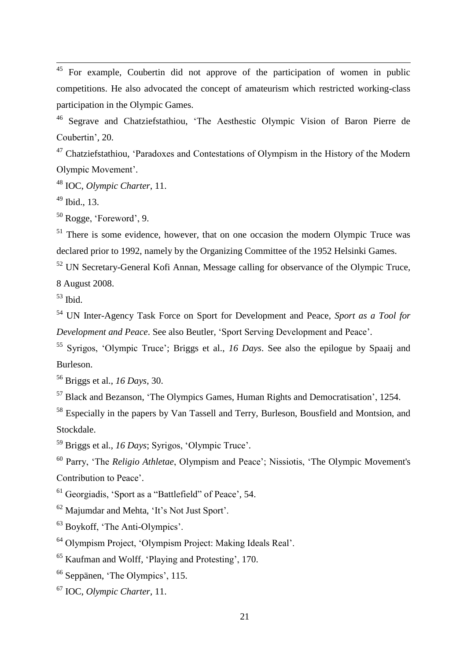<sup>45</sup> For example, Coubertin did not approve of the participation of women in public competitions. He also advocated the concept of amateurism which restricted working-class participation in the Olympic Games.

 Segrave and Chatziefstathiou, 'The Aesthestic Olympic Vision of Baron Pierre de Coubertin', 20.

<sup>47</sup> Chatziefstathiou, 'Paradoxes and Contestations of Olympism in the History of the Modern Olympic Movement'.

IOC, *Olympic Charter*, 11.

Ibid., 13.

Rogge, 'Foreword', 9.

<sup>51</sup> There is some evidence, however, that on one occasion the modern Olympic Truce was declared prior to 1992, namely by the Organizing Committee of the 1952 Helsinki Games.

 UN Secretary-General Kofi Annan, Message calling for observance of the Olympic Truce, 8 August 2008.

Ibid.

 UN Inter-Agency Task Force on Sport for Development and Peace, *Sport as a Tool for Development and Peace*. See also Beutler, 'Sport Serving Development and Peace'.

 Syrigos, 'Olympic Truce'; Briggs et al., *16 Days*. See also the epilogue by Spaaij and Burleson.

Briggs et al., *16 Days*, 30.

Black and Bezanson, 'The Olympics Games, Human Rights and Democratisation', 1254.

 Especially in the papers by Van Tassell and Terry, Burleson, Bousfield and Montsion, and Stockdale.

Briggs et al., *16 Days*; Syrigos, 'Olympic Truce'.

 Parry, 'The *Religio Athletae*, Olympism and Peace'; Nissiotis, 'The Olympic Movement's Contribution to Peace'.

Georgiadis, 'Sport as a "Battlefield" of Peace', 54.

Majumdar and Mehta, 'It's Not Just Sport'.

Boykoff, 'The Anti-Olympics'.

Olympism Project, 'Olympism Project: Making Ideals Real'.

Kaufman and Wolff, 'Playing and Protesting', 170.

Seppänen, 'The Olympics', 115.

IOC, *Olympic Charter*, 11.